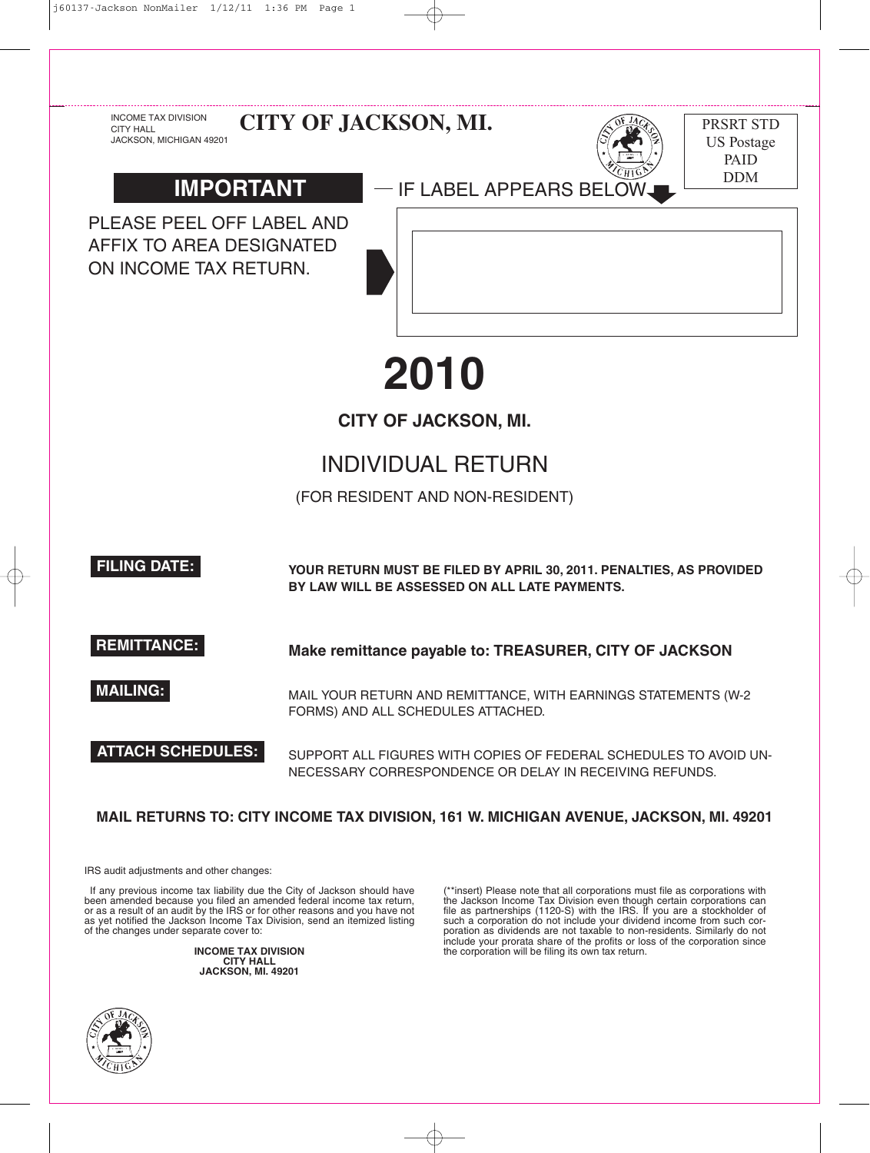



IRS audit adjustments and other changes:

If any previous income tax liability due the City of Jackson should have been amended because you filed an amended federal income tax return, or as a result of an audit by the IRS or for other reasons and you have not as yet notified the Jackson Income Tax Division, send an itemized listing of the changes under separate cover to:

> **INCOME TAX DIVISION CITY HALL JACKSON, MI. 49201**



\*\*insert) Please note that all corporations must file as corporations with the Jackson Income Tax Division even though certain corporations can file as partnerships (1120-S) with the IRS. If you are a stockholder of such a corporation do not include your dividend income from such corporation as dividends are not taxable to non-residents. Similarly do not include your prorata share of the profits or loss of the corporation since the corporation will be filing its own tax return.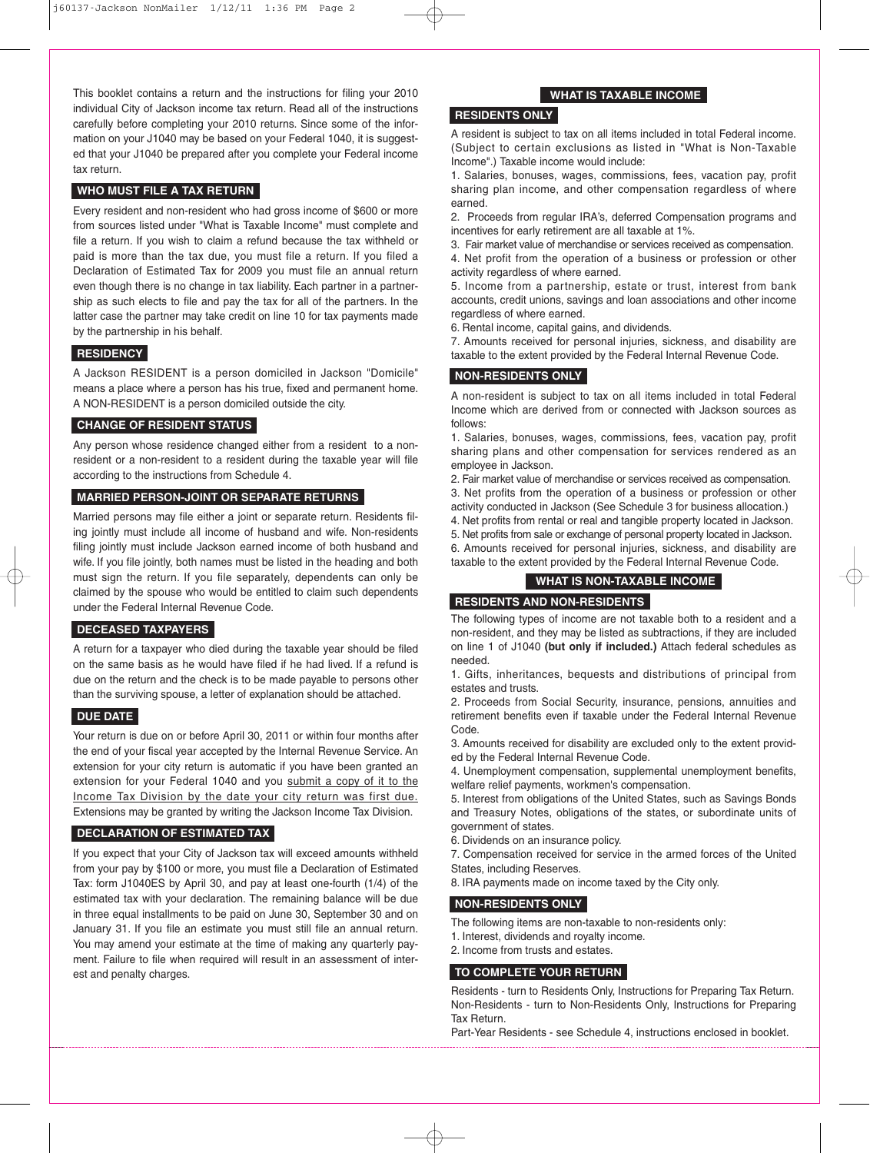This booklet contains a return and the instructions for filing your 2010 individual City of Jackson income tax return. Read all of the instructions carefully before completing your 2010 returns. Since some of the information on your J1040 may be based on your Federal 1040, it is suggested that your J1040 be prepared after you complete your Federal income tax return.

## **WHO MUST FILE A TAX RETURN**

Every resident and non-resident who had gross income of \$600 or more from sources listed under "What is Taxable Income" must complete and file a return. If you wish to claim a refund because the tax withheld or paid is more than the tax due, you must file a return. If you filed a Declaration of Estimated Tax for 2009 you must file an annual return even though there is no change in tax liability. Each partner in a partnership as such elects to file and pay the tax for all of the partners. In the latter case the partner may take credit on line 10 for tax payments made by the partnership in his behalf.

# **RESIDENCY**

A Jackson RESIDENT is a person domiciled in Jackson "Domicile" means a place where a person has his true, fixed and permanent home. A NON-RESIDENT is a person domiciled outside the city.

# **CHANGE OF RESIDENT STATUS**

Any person whose residence changed either from a resident to a nonresident or a non-resident to a resident during the taxable year will file according to the instructions from Schedule 4.

# **MARRIED PERSON-JOINT OR SEPARATE RETURNS**

Married persons may file either a joint or separate return. Residents filing jointly must include all income of husband and wife. Non-residents filing jointly must include Jackson earned income of both husband and wife. If you file jointly, both names must be listed in the heading and both must sign the return. If you file separately, dependents can only be claimed by the spouse who would be entitled to claim such dependents under the Federal Internal Revenue Code.

# **DECEASED TAXPAYERS**

A return for a taxpayer who died during the taxable year should be filed on the same basis as he would have filed if he had lived. If a refund is due on the return and the check is to be made payable to persons other than the surviving spouse, a letter of explanation should be attached.

## **DUE DATE**

Your return is due on or before April 30, 2011 or within four months after the end of your fiscal year accepted by the Internal Revenue Service. An extension for your city return is automatic if you have been granted an extension for your Federal 1040 and you submit a copy of it to the Income Tax Division by the date your city return was first due. Extensions may be granted by writing the Jackson Income Tax Division.

## **DECLARATION OF ESTIMATED TAX**

If you expect that your City of Jackson tax will exceed amounts withheld from your pay by \$100 or more, you must file a Declaration of Estimated Tax: form J1040ES by April 30, and pay at least one-fourth (1/4) of the estimated tax with your declaration. The remaining balance will be due in three equal installments to be paid on June 30, September 30 and on January 31. If you file an estimate you must still file an annual return. You may amend your estimate at the time of making any quarterly payment. Failure to file when required will result in an assessment of interest and penalty charges.

## **WHAT IS TAXABLE INCOME**

# **RESIDENTS ONLY**

A resident is subject to tax on all items included in total Federal income. (Subject to certain exclusions as listed in "What is Non-Taxable Income".) Taxable income would include:

1. Salaries, bonuses, wages, commissions, fees, vacation pay, profit sharing plan income, and other compensation regardless of where earned.

2. Proceeds from regular IRA's, deferred Compensation programs and incentives for early retirement are all taxable at 1%.

3. Fair market value of merchandise or services received as compensation.

4. Net profit from the operation of a business or profession or other activity regardless of where earned.

5. Income from a partnership, estate or trust, interest from bank accounts, credit unions, savings and loan associations and other income regardless of where earned.

6. Rental income, capital gains, and dividends.

7. Amounts received for personal injuries, sickness, and disability are taxable to the extent provided by the Federal Internal Revenue Code.

## **NON-RESIDENTS ONLY**

A non-resident is subject to tax on all items included in total Federal Income which are derived from or connected with Jackson sources as follows:

1. Salaries, bonuses, wages, commissions, fees, vacation pay, profit sharing plans and other compensation for services rendered as an employee in Jackson.

2. Fair market value of merchandise or services received as compensation. 3. Net profits from the operation of a business or profession or other

activity conducted in Jackson (See Schedule 3 for business allocation.)

4. Net profits from rental or real and tangible property located in Jackson.

5. Net profits from sale or exchange of personal property located in Jackson.

6. Amounts received for personal injuries, sickness, and disability are taxable to the extent provided by the Federal Internal Revenue Code.

## **WHAT IS NON-TAXABLE INCOME**

## **RESIDENTS AND NON-RESIDENTS**

The following types of income are not taxable both to a resident and a non-resident, and they may be listed as subtractions, if they are included on line 1 of J1040 **(but only if included.)** Attach federal schedules as needed.

1. Gifts, inheritances, bequests and distributions of principal from estates and trusts.

2. Proceeds from Social Security, insurance, pensions, annuities and retirement benefits even if taxable under the Federal Internal Revenue Code.

3. Amounts received for disability are excluded only to the extent provided by the Federal Internal Revenue Code.

4. Unemployment compensation, supplemental unemployment benefits, welfare relief payments, workmen's compensation.

5. Interest from obligations of the United States, such as Savings Bonds and Treasury Notes, obligations of the states, or subordinate units of government of states.

6. Dividends on an insurance policy.

7. Compensation received for service in the armed forces of the United States, including Reserves.

8. IRA payments made on income taxed by the City only.

## **NON-RESIDENTS ONLY**

The following items are non-taxable to non-residents only:

1. Interest, dividends and royalty income.

2. Income from trusts and estates.

## **TO COMPLETE YOUR RETURN**

Residents - turn to Residents Only, Instructions for Preparing Tax Return. Non-Residents - turn to Non-Residents Only, Instructions for Preparing Tax Return.

Part-Year Residents - see Schedule 4, instructions enclosed in booklet.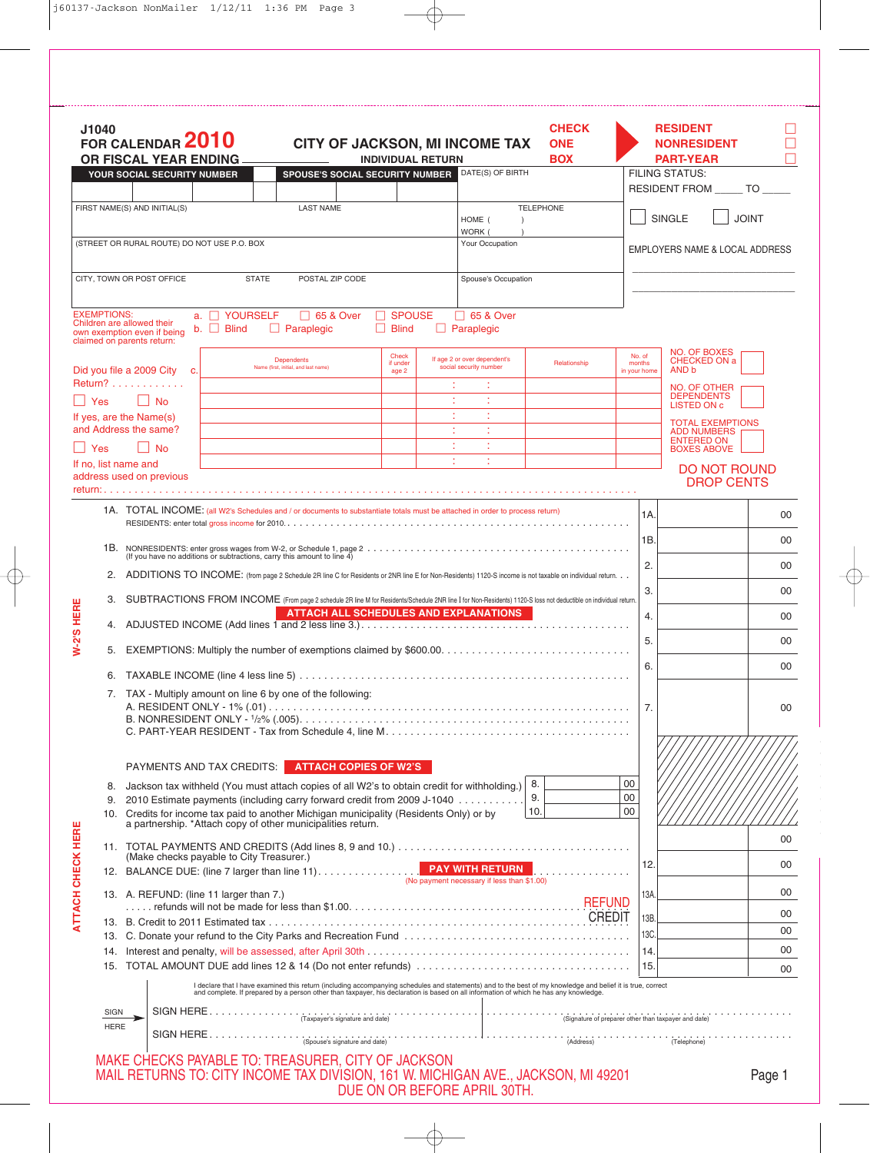|                          | J1040              | FOR CALENDAR 2010<br>OR FISCAL YEAR ENDING<br>YOUR SOCIAL SECURITY NUMBER                                                                                                                                                         |                                                                                                                                                                                                                                                                                                                                                                    | <b>SPOUSE'S SOCIAL SECURITY NUMBER</b>                    |  |                               | <b>INDIVIDUAL RETURN</b> | CITY OF JACKSON, MI INCOME TAX<br>DATE(S) OF BIRTH                   | <b>CHECK</b><br><b>ONE</b><br><b>BOX</b>                                                                                                                                                                                          |          |                                  | <b>RESIDENT</b><br><b>NONRESIDENT</b><br><b>PART-YEAR</b><br><b>FILING STATUS:</b> |              |
|--------------------------|--------------------|-----------------------------------------------------------------------------------------------------------------------------------------------------------------------------------------------------------------------------------|--------------------------------------------------------------------------------------------------------------------------------------------------------------------------------------------------------------------------------------------------------------------------------------------------------------------------------------------------------------------|-----------------------------------------------------------|--|-------------------------------|--------------------------|----------------------------------------------------------------------|-----------------------------------------------------------------------------------------------------------------------------------------------------------------------------------------------------------------------------------|----------|----------------------------------|------------------------------------------------------------------------------------|--------------|
|                          |                    |                                                                                                                                                                                                                                   |                                                                                                                                                                                                                                                                                                                                                                    |                                                           |  |                               |                          |                                                                      |                                                                                                                                                                                                                                   |          |                                  | RESIDENT FROM ______ TO _____                                                      |              |
|                          |                    | FIRST NAME(S) AND INITIAL(S)                                                                                                                                                                                                      |                                                                                                                                                                                                                                                                                                                                                                    | <b>LAST NAME</b>                                          |  |                               |                          | HOME (<br>$\lambda$                                                  | <b>TELEPHONE</b>                                                                                                                                                                                                                  |          |                                  | <b>SINGLE</b>                                                                      | <b>JOINT</b> |
|                          |                    | (STREET OR RURAL ROUTE) DO NOT USE P.O. BOX                                                                                                                                                                                       |                                                                                                                                                                                                                                                                                                                                                                    |                                                           |  |                               |                          | WORK (<br>Your Occupation                                            |                                                                                                                                                                                                                                   |          |                                  |                                                                                    |              |
|                          |                    |                                                                                                                                                                                                                                   |                                                                                                                                                                                                                                                                                                                                                                    |                                                           |  |                               |                          |                                                                      |                                                                                                                                                                                                                                   |          |                                  | EMPLOYERS NAME & LOCAL ADDRESS                                                     |              |
|                          |                    | CITY, TOWN OR POST OFFICE                                                                                                                                                                                                         | <b>STATE</b>                                                                                                                                                                                                                                                                                                                                                       | POSTAL ZIP CODE                                           |  |                               |                          | Spouse's Occupation                                                  |                                                                                                                                                                                                                                   |          |                                  |                                                                                    |              |
|                          | <b>EXEMPTIONS:</b> | Children are allowed their<br>own exemption even if being<br>claimed on parents return:                                                                                                                                           | a. <b>NOURSELF</b><br>$b.$ $\Box$ Blind                                                                                                                                                                                                                                                                                                                            | □ 65 & Over<br>$\Box$ Paraplegic                          |  | $\Box$ SPOUSE<br>$\Box$ Blind |                          | □ 65 & Over<br>$\Box$ Paraplegic                                     |                                                                                                                                                                                                                                   |          |                                  |                                                                                    |              |
|                          |                    | Did you file a 2009 City c.                                                                                                                                                                                                       |                                                                                                                                                                                                                                                                                                                                                                    | <b>Dependents</b><br>Name (first, initial, and last name) |  | Check<br>if under<br>age 2    |                          | If age 2 or over dependent's<br>social security number               | Relationship                                                                                                                                                                                                                      |          | No. of<br>months<br>in your home | NO. OF BOXES<br><b>CHECKED ON a</b><br>AND b                                       |              |
|                          | Yes                | Return?<br>$\vert$ $\vert$ No                                                                                                                                                                                                     |                                                                                                                                                                                                                                                                                                                                                                    |                                                           |  |                               |                          |                                                                      |                                                                                                                                                                                                                                   |          |                                  | NO. OF OTHER<br><b>DEPENDENTS</b>                                                  |              |
|                          |                    | If yes, are the Name(s)                                                                                                                                                                                                           |                                                                                                                                                                                                                                                                                                                                                                    |                                                           |  |                               |                          |                                                                      |                                                                                                                                                                                                                                   |          |                                  | LISTED ON c<br><b>TOTAL EXEMPTIONS</b>                                             |              |
|                          | Yes                | and Address the same?<br><b>No</b>                                                                                                                                                                                                |                                                                                                                                                                                                                                                                                                                                                                    |                                                           |  |                               |                          |                                                                      |                                                                                                                                                                                                                                   |          |                                  | <b>ADD NUMBERS</b><br><b>ENTERED ON</b>                                            |              |
|                          |                    | If no, list name and                                                                                                                                                                                                              |                                                                                                                                                                                                                                                                                                                                                                    |                                                           |  |                               |                          | ÷                                                                    |                                                                                                                                                                                                                                   |          |                                  | <b>BOXES ABOVE</b><br><b>DO NOT ROUND</b>                                          |              |
|                          |                    | address used on previous<br>return: $\ldots$                                                                                                                                                                                      |                                                                                                                                                                                                                                                                                                                                                                    |                                                           |  |                               |                          |                                                                      |                                                                                                                                                                                                                                   |          |                                  | <b>DROP CENTS</b>                                                                  |              |
|                          |                    | 1A. TOTAL INCOME: (all W2's Schedules and / or documents to substantiate totals must be attached in order to process return)                                                                                                      |                                                                                                                                                                                                                                                                                                                                                                    |                                                           |  |                               |                          |                                                                      |                                                                                                                                                                                                                                   |          | 1A.                              |                                                                                    | 00           |
|                          |                    |                                                                                                                                                                                                                                   |                                                                                                                                                                                                                                                                                                                                                                    |                                                           |  |                               |                          |                                                                      |                                                                                                                                                                                                                                   |          |                                  |                                                                                    |              |
|                          |                    |                                                                                                                                                                                                                                   |                                                                                                                                                                                                                                                                                                                                                                    |                                                           |  |                               |                          |                                                                      |                                                                                                                                                                                                                                   |          | 1B.                              |                                                                                    | 00           |
|                          | 2.                 | (If you have no additions or subtractions, carry this amount to line 4)<br>ADDITIONS TO INCOME: (from page 2 Schedule 2R line C for Residents or 2NR line E for Non-Residents) 1120-S income is not taxable on individual return. |                                                                                                                                                                                                                                                                                                                                                                    |                                                           |  |                               |                          |                                                                      |                                                                                                                                                                                                                                   | 2.       |                                  | 00                                                                                 |              |
|                          | 3.                 | SUBTRACTIONS FROM INCOME (From page 2 schedule 2R line M for Residents/Schedule 2NR line I for Non-Residents) 1120-S loss not deductible on individual return.                                                                    |                                                                                                                                                                                                                                                                                                                                                                    |                                                           |  |                               |                          |                                                                      |                                                                                                                                                                                                                                   |          | 3.                               |                                                                                    | 00           |
|                          |                    |                                                                                                                                                                                                                                   |                                                                                                                                                                                                                                                                                                                                                                    |                                                           |  |                               |                          | <b>ATTACH ALL SCHEDULES AND EXPLANATIONS</b>                         |                                                                                                                                                                                                                                   |          | 4.                               |                                                                                    | 00           |
| W-2'S HERE               |                    |                                                                                                                                                                                                                                   |                                                                                                                                                                                                                                                                                                                                                                    |                                                           |  |                               |                          |                                                                      | 5.                                                                                                                                                                                                                                |          | 00                               |                                                                                    |              |
|                          |                    | 5.                                                                                                                                                                                                                                |                                                                                                                                                                                                                                                                                                                                                                    |                                                           |  |                               |                          |                                                                      |                                                                                                                                                                                                                                   | 6.       |                                  | 00                                                                                 |              |
|                          | 6.                 | 7. TAX - Multiply amount on line 6 by one of the following:                                                                                                                                                                       |                                                                                                                                                                                                                                                                                                                                                                    |                                                           |  |                               |                          |                                                                      |                                                                                                                                                                                                                                   |          |                                  |                                                                                    |              |
|                          |                    |                                                                                                                                                                                                                                   |                                                                                                                                                                                                                                                                                                                                                                    |                                                           |  |                               |                          |                                                                      |                                                                                                                                                                                                                                   |          | 7.                               |                                                                                    | 00           |
|                          |                    |                                                                                                                                                                                                                                   |                                                                                                                                                                                                                                                                                                                                                                    |                                                           |  |                               |                          |                                                                      |                                                                                                                                                                                                                                   |          |                                  |                                                                                    |              |
|                          |                    | <b>PAYMENTS AND TAX CREDITS:</b>                                                                                                                                                                                                  |                                                                                                                                                                                                                                                                                                                                                                    | <b>ATTACH COPIES OF W2'S</b>                              |  |                               |                          |                                                                      |                                                                                                                                                                                                                                   |          |                                  |                                                                                    |              |
|                          | 8.                 | Jackson tax withheld (You must attach copies of all W2's to obtain credit for withholding.)                                                                                                                                       |                                                                                                                                                                                                                                                                                                                                                                    |                                                           |  |                               |                          |                                                                      | 8.                                                                                                                                                                                                                                | 00       |                                  |                                                                                    |              |
|                          | 9.                 | 2010 Estimate payments (including carry forward credit from 2009 J-1040<br>10. Credits for income tax paid to another Michigan municipality (Residents Only) or by                                                                |                                                                                                                                                                                                                                                                                                                                                                    |                                                           |  |                               |                          |                                                                      | 9.<br>10.                                                                                                                                                                                                                         | 00<br>00 |                                  |                                                                                    |              |
|                          |                    | a partnership. *Attach copy of other municipalities return.                                                                                                                                                                       |                                                                                                                                                                                                                                                                                                                                                                    |                                                           |  |                               |                          |                                                                      |                                                                                                                                                                                                                                   |          |                                  |                                                                                    | 00           |
|                          |                    | (Make checks payable to City Treasurer.)                                                                                                                                                                                          |                                                                                                                                                                                                                                                                                                                                                                    |                                                           |  |                               |                          |                                                                      |                                                                                                                                                                                                                                   |          |                                  |                                                                                    |              |
|                          |                    | 12. BALANCE DUE: (line 7 larger than line 11).                                                                                                                                                                                    |                                                                                                                                                                                                                                                                                                                                                                    |                                                           |  |                               |                          | <b>PAY WITH RETURN</b><br>(No payment necessary if less than \$1.00) | .                                                                                                                                                                                                                                 |          | 12.                              |                                                                                    | 00           |
| <b>ATTACH CHECK HERE</b> |                    | 13. A. REFUND: (line 11 larger than 7.)                                                                                                                                                                                           |                                                                                                                                                                                                                                                                                                                                                                    |                                                           |  |                               |                          |                                                                      |                                                                                                                                                                                                                                   |          | 13A.                             |                                                                                    | 00           |
|                          |                    |                                                                                                                                                                                                                                   |                                                                                                                                                                                                                                                                                                                                                                    |                                                           |  |                               |                          |                                                                      |                                                                                                                                                                                                                                   |          | 13B.                             |                                                                                    | 00           |
|                          |                    |                                                                                                                                                                                                                                   |                                                                                                                                                                                                                                                                                                                                                                    |                                                           |  |                               |                          |                                                                      |                                                                                                                                                                                                                                   |          | 13C.                             |                                                                                    | 00<br>00     |
|                          |                    |                                                                                                                                                                                                                                   |                                                                                                                                                                                                                                                                                                                                                                    |                                                           |  |                               |                          |                                                                      |                                                                                                                                                                                                                                   |          | 14.<br>15.                       |                                                                                    | 00           |
|                          |                    |                                                                                                                                                                                                                                   |                                                                                                                                                                                                                                                                                                                                                                    |                                                           |  |                               |                          |                                                                      | I declare that I have examined this return (including accompanying schedules and statements) and to the best of my knowledge and belief it is true, correct<br>and complete. If prepared by a person other than taxpayer, his dec |          |                                  |                                                                                    |              |
|                          | SIGN               |                                                                                                                                                                                                                                   | $\begin{picture}(180,10) \put(0,0){\vector(1,0){100}} \put(15,0){\vector(1,0){100}} \put(15,0){\vector(1,0){100}} \put(15,0){\vector(1,0){100}} \put(15,0){\vector(1,0){100}} \put(15,0){\vector(1,0){100}} \put(15,0){\vector(1,0){100}} \put(15,0){\vector(1,0){100}} \put(15,0){\vector(1,0){100}} \put(15,0){\vector(1,0){100}} \put(15,0){\vector(1,0){100}}$ |                                                           |  |                               |                          |                                                                      |                                                                                                                                                                                                                                   |          |                                  |                                                                                    |              |
|                          | <b>HERE</b>        |                                                                                                                                                                                                                                   | $\begin{picture}(150,100) \put(0,0){\vector(1,0){100}} \put(150,0){\vector(1,0){100}} \put(150,0){\vector(1,0){100}} \put(150,0){\vector(1,0){100}} \put(150,0){\vector(1,0){100}} \put(150,0){\vector(1,0){100}} \put(150,0){\vector(1,0){100}} \put(150,0){\vector(1,0){100}} \put(150,0){\vector(1,0){100}} \put(150,0){\vector(1,0){100}} \put(150,0){$        |                                                           |  |                               |                          |                                                                      |                                                                                                                                                                                                                                   |          |                                  |                                                                                    |              |
|                          |                    |                                                                                                                                                                                                                                   |                                                                                                                                                                                                                                                                                                                                                                    |                                                           |  |                               |                          |                                                                      |                                                                                                                                                                                                                                   |          |                                  |                                                                                    |              |
|                          |                    | MAKE CHECKS PAYABLE TO: TREASURER, CITY OF JACKSON<br>MAIL RETURNS TO: CITY INCOME TAX DIVISION, 161 W. MICHIGAN AVE., JACKSON, MI 49201                                                                                          |                                                                                                                                                                                                                                                                                                                                                                    |                                                           |  |                               |                          | DUE ON OR BEFORE APRIL 30TH.                                         |                                                                                                                                                                                                                                   |          |                                  |                                                                                    | Page 1       |

 $\overline{\bigoplus}$ 

 $\overline{\varphi}$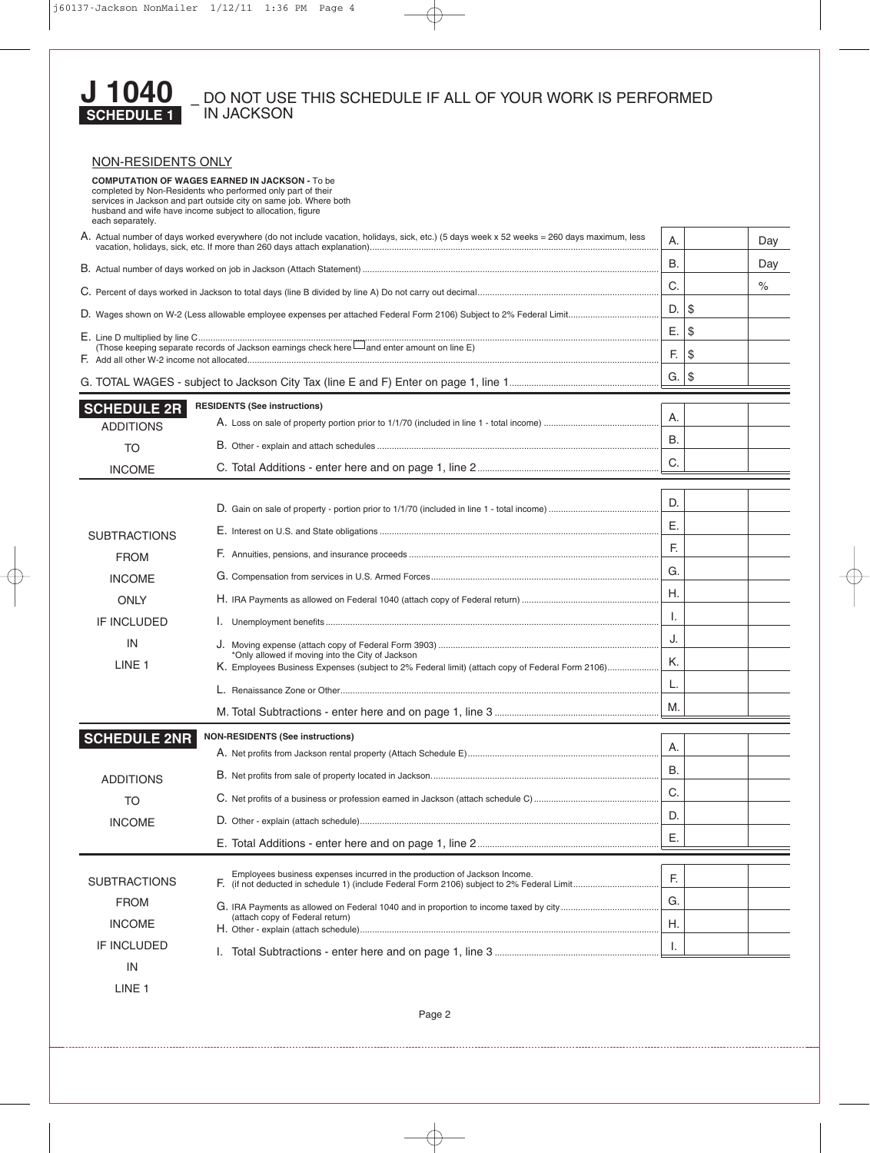

# – DO NOT USE THIS SCHEDULE IF ALL OF YOUR WORK IS PERFORMED IN JACKSON

| NON-RESIDENTS ONLY                                                                                                                          |                                                                                                                                                                                           |           |      |  |  |  |
|---------------------------------------------------------------------------------------------------------------------------------------------|-------------------------------------------------------------------------------------------------------------------------------------------------------------------------------------------|-----------|------|--|--|--|
| husband and wife have income subject to allocation, figure<br>each separately.                                                              | <b>COMPUTATION OF WAGES EARNED IN JACKSON - To be</b><br>completed by Non-Residents who performed only part of their<br>services in Jackson and part outside city on same job. Where both |           |      |  |  |  |
| A. Actual number of days worked everywhere (do not include vacation, holidays, sick, etc.) (5 days week x 52 weeks = 260 days maximum, less | Α.                                                                                                                                                                                        |           | Day  |  |  |  |
|                                                                                                                                             | В.                                                                                                                                                                                        |           | Day  |  |  |  |
|                                                                                                                                             | C.                                                                                                                                                                                        |           | $\%$ |  |  |  |
|                                                                                                                                             |                                                                                                                                                                                           | $D.$ \\$  |      |  |  |  |
|                                                                                                                                             | E.                                                                                                                                                                                        | \$        |      |  |  |  |
|                                                                                                                                             | F.                                                                                                                                                                                        | \$        |      |  |  |  |
|                                                                                                                                             |                                                                                                                                                                                           | $G.  $ \$ |      |  |  |  |
| <b>SCHEDULE 2R</b>                                                                                                                          | <b>RESIDENTS (See instructions)</b>                                                                                                                                                       |           |      |  |  |  |
| <b>ADDITIONS</b>                                                                                                                            |                                                                                                                                                                                           | Α.        |      |  |  |  |
| <b>TO</b>                                                                                                                                   |                                                                                                                                                                                           | <b>B.</b> |      |  |  |  |
| <b>INCOME</b>                                                                                                                               |                                                                                                                                                                                           | C.        |      |  |  |  |
|                                                                                                                                             |                                                                                                                                                                                           |           |      |  |  |  |
|                                                                                                                                             |                                                                                                                                                                                           | D.        |      |  |  |  |
| <b>SUBTRACTIONS</b>                                                                                                                         |                                                                                                                                                                                           | Ε.        |      |  |  |  |
| <b>FROM</b>                                                                                                                                 |                                                                                                                                                                                           | F.        |      |  |  |  |
| <b>INCOME</b>                                                                                                                               |                                                                                                                                                                                           |           |      |  |  |  |
| <b>ONLY</b>                                                                                                                                 |                                                                                                                                                                                           |           |      |  |  |  |
| IF INCLUDED                                                                                                                                 |                                                                                                                                                                                           | Ι.        |      |  |  |  |
| IN                                                                                                                                          |                                                                                                                                                                                           | J.        |      |  |  |  |
| LINE <sub>1</sub>                                                                                                                           | *Only allowed if moving into the City of Jackson<br>K. Employees Business Expenses (subject to 2% Federal limit) (attach copy of Federal Form 2106)                                       | Κ.        |      |  |  |  |
|                                                                                                                                             |                                                                                                                                                                                           | L.        |      |  |  |  |
|                                                                                                                                             |                                                                                                                                                                                           | M.        |      |  |  |  |
| <b>SCHEDULE 2NR</b>                                                                                                                         | <b>NON-RESIDENTS (See instructions)</b>                                                                                                                                                   |           |      |  |  |  |
|                                                                                                                                             |                                                                                                                                                                                           | Α.        |      |  |  |  |
| <b>ADDITIONS</b>                                                                                                                            |                                                                                                                                                                                           | В.        |      |  |  |  |
| <b>TO</b>                                                                                                                                   |                                                                                                                                                                                           | C.        |      |  |  |  |
| <b>INCOME</b>                                                                                                                               |                                                                                                                                                                                           | D.        |      |  |  |  |
|                                                                                                                                             |                                                                                                                                                                                           | Е.        |      |  |  |  |
|                                                                                                                                             |                                                                                                                                                                                           |           |      |  |  |  |
| <b>SUBTRACTIONS</b>                                                                                                                         | Employees business expenses incurred in the production of Jackson Income.                                                                                                                 | F.        |      |  |  |  |
| <b>FROM</b>                                                                                                                                 |                                                                                                                                                                                           | G.        |      |  |  |  |
| <b>INCOME</b>                                                                                                                               | (attach copy of Federal return)                                                                                                                                                           | Η.        |      |  |  |  |
| IF INCLUDED                                                                                                                                 | I.                                                                                                                                                                                        | Ι.        |      |  |  |  |
| IN                                                                                                                                          |                                                                                                                                                                                           |           |      |  |  |  |

LINE 1

Page 2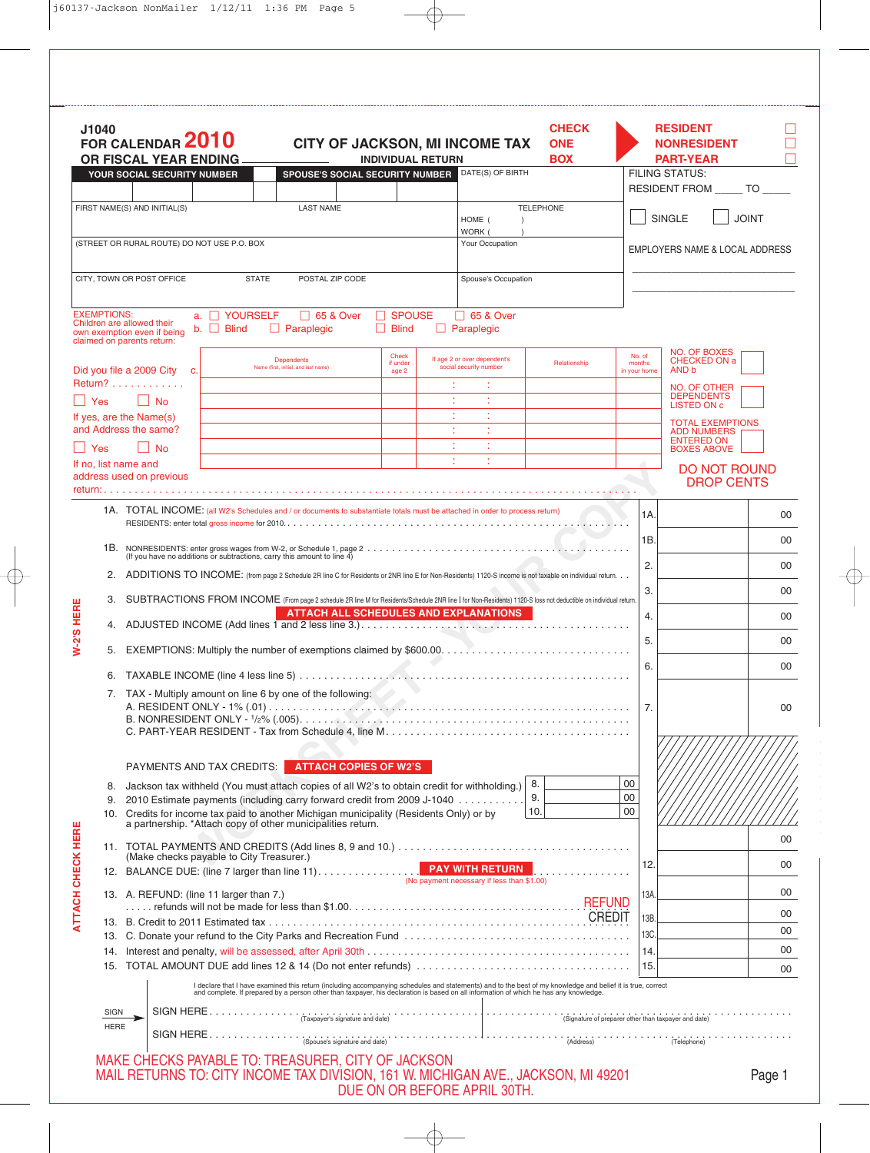|                          | J1040                                                                                                                                                        | FOR CALENDAR 2010<br>OR FISCAL YEAR ENDING                                                                                                                     |                                    |                                                                                         | <b>INDIVIDUAL RETURN</b>            | <b>CITY OF JACKSON, MI INCOME TAX</b>                                                                                                                                                                                             | <b>CHECK</b><br><b>ONE</b><br><b>BOX</b> |                                  | <b>RESIDENT</b><br><b>NONRESIDENT</b><br><b>PART-YEAR</b>     |              |
|--------------------------|--------------------------------------------------------------------------------------------------------------------------------------------------------------|----------------------------------------------------------------------------------------------------------------------------------------------------------------|------------------------------------|-----------------------------------------------------------------------------------------|-------------------------------------|-----------------------------------------------------------------------------------------------------------------------------------------------------------------------------------------------------------------------------------|------------------------------------------|----------------------------------|---------------------------------------------------------------|--------------|
|                          |                                                                                                                                                              | YOUR SOCIAL SECURITY NUMBER                                                                                                                                    |                                    | <b>SPOUSE'S SOCIAL SECURITY NUMBER</b>                                                  |                                     | DATE(S) OF BIRTH                                                                                                                                                                                                                  |                                          |                                  | <b>FILING STATUS:</b><br>RESIDENT FROM ______ TO _____        |              |
|                          |                                                                                                                                                              | FIRST NAME(S) AND INITIAL(S)                                                                                                                                   |                                    | <b>LAST NAME</b>                                                                        |                                     | HOME (<br>WORK (                                                                                                                                                                                                                  | <b>TELEPHONE</b>                         |                                  | <b>SINGLE</b>                                                 | <b>JOINT</b> |
|                          |                                                                                                                                                              | (STREET OR RURAL ROUTE) DO NOT USE P.O. BOX                                                                                                                    |                                    |                                                                                         |                                     | Your Occupation                                                                                                                                                                                                                   |                                          |                                  | <b>EMPLOYERS NAME &amp; LOCAL ADDRESS</b>                     |              |
|                          |                                                                                                                                                              | CITY, TOWN OR POST OFFICE                                                                                                                                      | <b>STATE</b>                       | POSTAL ZIP CODE                                                                         |                                     | Spouse's Occupation                                                                                                                                                                                                               |                                          |                                  |                                                               |              |
|                          | <b>EXEMPTIONS:</b>                                                                                                                                           | Children are allowed their<br>own exemption even if being<br>claimed on parents return:                                                                        | a. C YOURSELF<br>$b.$ $\Box$ Blind | □ 65 & Over<br>$\Box$ Paraplegic                                                        | $\Box$ SPOUSE<br>П.<br><b>Blind</b> | □ 65 & Over<br>$\Box$ Paraplegic                                                                                                                                                                                                  |                                          |                                  |                                                               |              |
|                          |                                                                                                                                                              | Did you file a 2009 City c.                                                                                                                                    |                                    | <b>Dependents</b><br>Name (first, initial, and last name)                               | Check<br>if under<br>age 2          | If age 2 or over dependent's<br>social security number                                                                                                                                                                            | Relationship                             | No. of<br>months<br>in your home | <b>NO. OF BOXES</b><br><b>CHECKED ON a</b><br>AND b           |              |
| H                        | Yes                                                                                                                                                          | Return?<br>$\Box$ No                                                                                                                                           |                                    |                                                                                         |                                     |                                                                                                                                                                                                                                   |                                          |                                  | NO. OF OTHER<br><b>DEPENDENTS</b><br><b>LISTED ON c</b>       |              |
|                          |                                                                                                                                                              | If yes, are the Name(s)<br>and Address the same?                                                                                                               |                                    |                                                                                         |                                     |                                                                                                                                                                                                                                   |                                          |                                  | <b>TOTAL EXEMPTIONS</b>                                       |              |
|                          | Yes                                                                                                                                                          | <b>No</b>                                                                                                                                                      |                                    |                                                                                         |                                     |                                                                                                                                                                                                                                   |                                          |                                  | <b>ADD NUMBERS</b><br><b>ENTERED ON</b><br><b>BOXES ABOVE</b> |              |
|                          |                                                                                                                                                              | If no. list name and<br>address used on previous                                                                                                               |                                    |                                                                                         |                                     |                                                                                                                                                                                                                                   |                                          |                                  | <b>DO NOT ROUND</b><br><b>DROP CENTS</b>                      |              |
|                          |                                                                                                                                                              |                                                                                                                                                                |                                    |                                                                                         |                                     | 1A. TOTAL INCOME: (all W2's Schedules and / or documents to substantiate totals must be attached in order to process return)                                                                                                      |                                          |                                  |                                                               |              |
|                          |                                                                                                                                                              |                                                                                                                                                                |                                    |                                                                                         |                                     |                                                                                                                                                                                                                                   |                                          | 1A.                              |                                                               | 00           |
|                          |                                                                                                                                                              |                                                                                                                                                                |                                    |                                                                                         |                                     |                                                                                                                                                                                                                                   |                                          | 1B.                              |                                                               | 00           |
|                          | 2.<br>ADDITIONS TO INCOME: (from page 2 Schedule 2R line C for Residents or 2NR line E for Non-Residents) 1120-S income is not taxable on individual return. |                                                                                                                                                                |                                    |                                                                                         |                                     |                                                                                                                                                                                                                                   |                                          | 2.                               |                                                               | 00           |
|                          | 3.                                                                                                                                                           | SUBTRACTIONS FROM INCOME (From page 2 schedule 2R line M for Residents/Schedule 2NR line I for Non-Residents) 1120-S loss not deductible on individual return. |                                    |                                                                                         |                                     |                                                                                                                                                                                                                                   |                                          |                                  | 3.                                                            | 00           |
|                          |                                                                                                                                                              | <b>ATTACH ALL SCHEDULES AND EXPLANATIONS</b>                                                                                                                   |                                    |                                                                                         |                                     |                                                                                                                                                                                                                                   |                                          |                                  | 4.                                                            | 00           |
| <b>W-2'S HERE</b>        |                                                                                                                                                              |                                                                                                                                                                |                                    |                                                                                         |                                     |                                                                                                                                                                                                                                   |                                          | 5.                               |                                                               | 00           |
|                          |                                                                                                                                                              | 5.<br>7. TAX - Multiply amount on line 6 by one of the following:                                                                                              |                                    |                                                                                         |                                     |                                                                                                                                                                                                                                   |                                          |                                  | 6.                                                            | 00           |
|                          |                                                                                                                                                              |                                                                                                                                                                |                                    |                                                                                         |                                     |                                                                                                                                                                                                                                   |                                          |                                  |                                                               |              |
|                          |                                                                                                                                                              |                                                                                                                                                                |                                    |                                                                                         |                                     |                                                                                                                                                                                                                                   |                                          | 7.                               |                                                               | 00           |
|                          |                                                                                                                                                              |                                                                                                                                                                |                                    |                                                                                         |                                     |                                                                                                                                                                                                                                   |                                          |                                  |                                                               |              |
|                          |                                                                                                                                                              |                                                                                                                                                                |                                    | PAYMENTS AND TAX CREDITS: ATTACH COPIES OF W2'S                                         |                                     |                                                                                                                                                                                                                                   |                                          |                                  |                                                               |              |
|                          | 8.                                                                                                                                                           |                                                                                                                                                                |                                    | 10. Credits for income tax paid to another Michigan municipality (Residents Only) or by |                                     | Jackson tax withheld (You must attach copies of all W2's to obtain credit for withholding.)<br>9. 2010 Estimate payments (including carry forward credit from 2009 J-1040                                                         | 8.<br>9.<br>10.                          | 00<br>00<br>00                   |                                                               |              |
|                          |                                                                                                                                                              |                                                                                                                                                                |                                    | a partnership. *Attach copy of other municipalities return.                             |                                     |                                                                                                                                                                                                                                   |                                          |                                  |                                                               |              |
|                          |                                                                                                                                                              | (Make checks payable to City Treasurer.)                                                                                                                       |                                    |                                                                                         |                                     |                                                                                                                                                                                                                                   |                                          |                                  |                                                               | 00           |
|                          |                                                                                                                                                              |                                                                                                                                                                |                                    | 12. BALANCE DUE: (line 7 larger than line 11).                                          |                                     | <b>PAY WITH RETURN</b><br>(No payment necessary if less than \$1.00)                                                                                                                                                              |                                          | 12.                              |                                                               | 00           |
| <b>ATTACH CHECK HERE</b> |                                                                                                                                                              | 13. A. REFUND: (line 11 larger than 7.)                                                                                                                        |                                    |                                                                                         |                                     |                                                                                                                                                                                                                                   | <b>REFUND</b>                            | 13A.                             |                                                               | 00           |
|                          |                                                                                                                                                              |                                                                                                                                                                |                                    |                                                                                         |                                     |                                                                                                                                                                                                                                   |                                          | 13B.                             |                                                               | 00           |
|                          |                                                                                                                                                              |                                                                                                                                                                |                                    |                                                                                         |                                     |                                                                                                                                                                                                                                   |                                          | 13C<br> 14.                      |                                                               | 00<br>00     |
|                          |                                                                                                                                                              |                                                                                                                                                                |                                    |                                                                                         |                                     |                                                                                                                                                                                                                                   |                                          | 15.                              |                                                               | 00           |
|                          |                                                                                                                                                              |                                                                                                                                                                |                                    |                                                                                         |                                     | I declare that I have examined this return (including accompanying schedules and statements) and to the best of my knowledge and belief it is true, correct<br>and complete. If prepared by a person other than taxpayer, his dec |                                          |                                  |                                                               |              |
|                          | SIGN                                                                                                                                                         |                                                                                                                                                                |                                    |                                                                                         |                                     |                                                                                                                                                                                                                                   |                                          |                                  |                                                               |              |
|                          | <b>HERE</b>                                                                                                                                                  |                                                                                                                                                                |                                    |                                                                                         |                                     |                                                                                                                                                                                                                                   |                                          |                                  | $\overbrace{\text{(Address)}}$ (Address)                      |              |
|                          |                                                                                                                                                              |                                                                                                                                                                |                                    | MAKE CHECKS PAYABLE TO: TREASURER, CITY OF JACKSON                                      |                                     |                                                                                                                                                                                                                                   |                                          |                                  |                                                               |              |
|                          |                                                                                                                                                              |                                                                                                                                                                |                                    |                                                                                         |                                     | MAIL RETURNS TO: CITY INCOME TAX DIVISION, 161 W. MICHIGAN AVE., JACKSON, MI 49201<br>DUE ON OR BEFORE APRIL 30TH.                                                                                                                |                                          |                                  |                                                               | Page 1       |

 $\overline{\bigoplus}$ 

 $\overline{\varphi}$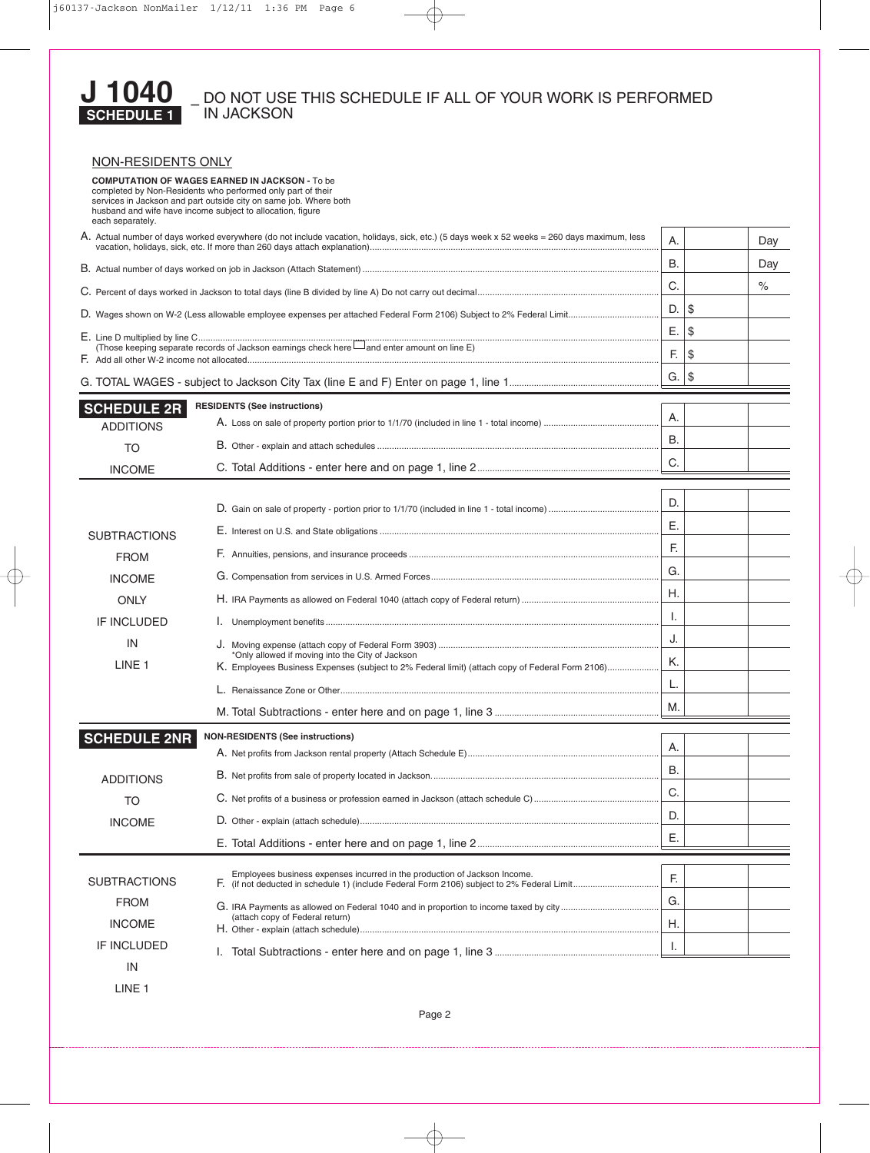

# – DO NOT USE THIS SCHEDULE IF ALL OF YOUR WORK IS PERFORMED IN JACKSON

| NON-RESIDENTS ONLY                                                                                                                                                                                     |                                                                                                                                                     |           |      |  |
|--------------------------------------------------------------------------------------------------------------------------------------------------------------------------------------------------------|-----------------------------------------------------------------------------------------------------------------------------------------------------|-----------|------|--|
| <b>COMPUTATION OF WAGES EARNED IN JACKSON - To be</b><br>completed by Non-Residents who performed only part of their<br>husband and wife have income subject to allocation, figure<br>each separately. | services in Jackson and part outside city on same job. Where both                                                                                   |           |      |  |
| A. Actual number of days worked everywhere (do not include vacation, holidays, sick, etc.) (5 days week x 52 weeks = 260 days maximum, less                                                            | Α.                                                                                                                                                  |           | Day  |  |
|                                                                                                                                                                                                        | В.                                                                                                                                                  |           | Day  |  |
|                                                                                                                                                                                                        | C.                                                                                                                                                  |           | $\%$ |  |
|                                                                                                                                                                                                        |                                                                                                                                                     | D.        | \$   |  |
|                                                                                                                                                                                                        |                                                                                                                                                     | Е.        | \$   |  |
|                                                                                                                                                                                                        | F.                                                                                                                                                  | \$        |      |  |
|                                                                                                                                                                                                        |                                                                                                                                                     | $G.  $ \$ |      |  |
| <b>SCHEDULE 2R</b>                                                                                                                                                                                     | <b>RESIDENTS (See instructions)</b>                                                                                                                 |           |      |  |
| <b>ADDITIONS</b>                                                                                                                                                                                       |                                                                                                                                                     | Α.        |      |  |
| <b>TO</b>                                                                                                                                                                                              |                                                                                                                                                     | <b>B.</b> |      |  |
| <b>INCOME</b>                                                                                                                                                                                          |                                                                                                                                                     | C.        |      |  |
|                                                                                                                                                                                                        |                                                                                                                                                     |           |      |  |
|                                                                                                                                                                                                        |                                                                                                                                                     | D.        |      |  |
| <b>SUBTRACTIONS</b>                                                                                                                                                                                    |                                                                                                                                                     | Ε.        |      |  |
| <b>FROM</b>                                                                                                                                                                                            |                                                                                                                                                     | F.        |      |  |
| <b>INCOME</b>                                                                                                                                                                                          |                                                                                                                                                     |           |      |  |
| <b>ONLY</b>                                                                                                                                                                                            |                                                                                                                                                     | H.        |      |  |
| <b>IF INCLUDED</b>                                                                                                                                                                                     |                                                                                                                                                     | Ι.        |      |  |
| IN                                                                                                                                                                                                     |                                                                                                                                                     | J.        |      |  |
| LINE <sub>1</sub>                                                                                                                                                                                      | *Only allowed if moving into the City of Jackson<br>K. Employees Business Expenses (subject to 2% Federal limit) (attach copy of Federal Form 2106) | Κ.        |      |  |
|                                                                                                                                                                                                        |                                                                                                                                                     | L.        |      |  |
|                                                                                                                                                                                                        |                                                                                                                                                     | М.        |      |  |
|                                                                                                                                                                                                        | <b>NON-RESIDENTS (See instructions)</b>                                                                                                             |           |      |  |
| <b>SCHEDULE 2NR</b>                                                                                                                                                                                    |                                                                                                                                                     | Α.        |      |  |
| <b>ADDITIONS</b>                                                                                                                                                                                       |                                                                                                                                                     | В.        |      |  |
| <b>TO</b>                                                                                                                                                                                              |                                                                                                                                                     | C.        |      |  |
| <b>INCOME</b>                                                                                                                                                                                          |                                                                                                                                                     | D.        |      |  |
|                                                                                                                                                                                                        |                                                                                                                                                     | Ε.        |      |  |
|                                                                                                                                                                                                        |                                                                                                                                                     |           |      |  |
| <b>SUBTRACTIONS</b>                                                                                                                                                                                    | Employees business expenses incurred in the production of Jackson Income.                                                                           | F.        |      |  |
| <b>FROM</b>                                                                                                                                                                                            |                                                                                                                                                     | G.        |      |  |
| <b>INCOME</b>                                                                                                                                                                                          | (attach copy of Federal return)                                                                                                                     | Η.        |      |  |
| IF INCLUDED                                                                                                                                                                                            |                                                                                                                                                     | I.        |      |  |
| IN                                                                                                                                                                                                     |                                                                                                                                                     |           |      |  |

LINE 1

Page 2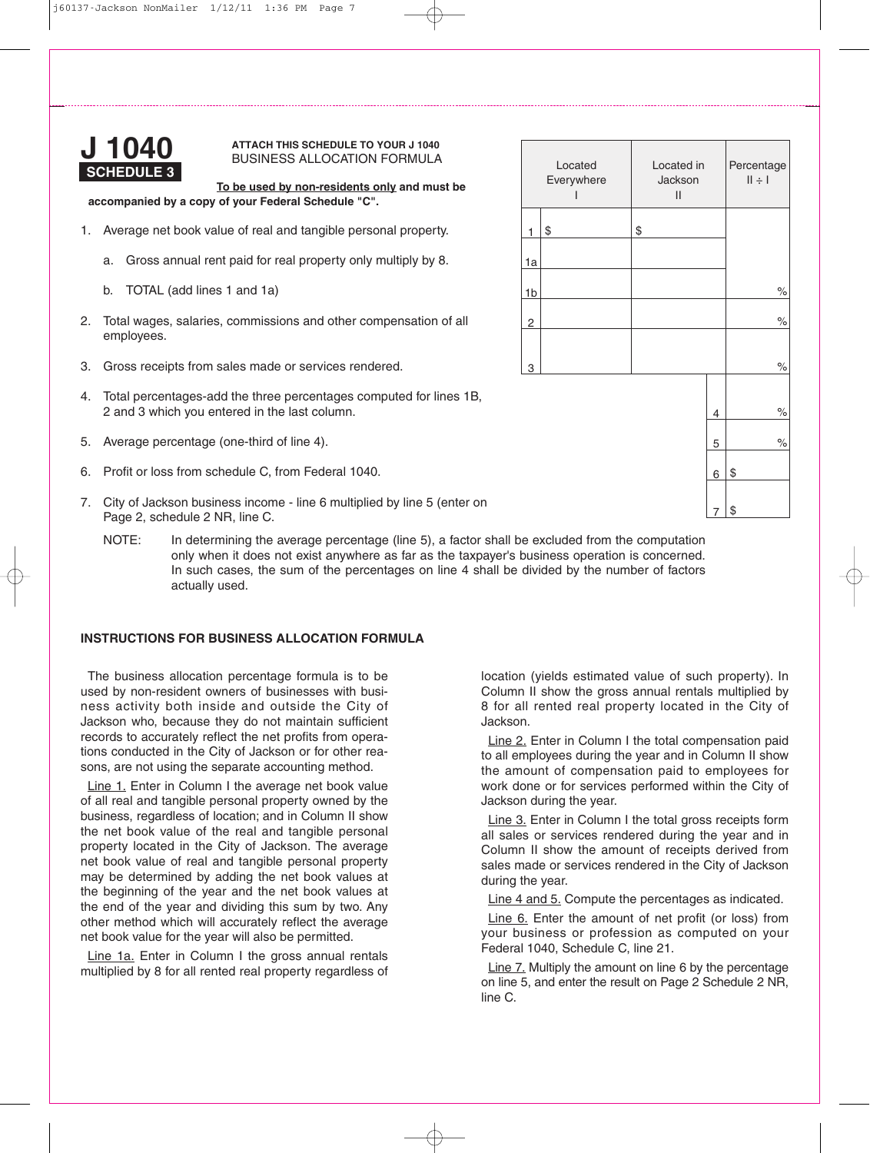

# **ATTACH THIS SCHEDULE TO YOUR J 1040** BUSINESS ALLOCATION FORMULA

**To be used by non-residents only and must be accompanied by a copy of your Federal Schedule "C".**

- 1. Average net book value of real and tangible personal property.
	- a. Gross annual rent paid for real property only multiply by 8.
	- b. TOTAL (add lines 1 and 1a)
- 2. Total wages, salaries, commissions and other compensation of all employees.
- 3. Gross receipts from sales made or services rendered.
- 4. Total percentages-add the three percentages computed for lines 1B, 2 and 3 which you entered in the last column.
- 5. Average percentage (one-third of line 4).
- 6. Profit or loss from schedule C, from Federal 1040.
- 7. City of Jackson business income line 6 multiplied by line 5 (enter on Page 2, schedule 2 NR, line C.
	- NOTE: In determining the average percentage (line 5), a factor shall be excluded from the computation only when it does not exist anywhere as far as the taxpayer's business operation is concerned. In such cases, the sum of the percentages on line 4 shall be divided by the number of factors actually used.

# **INSTRUCTIONS FOR BUSINESS ALLOCATION FORMULA**

The business allocation percentage formula is to be used by non-resident owners of businesses with business activity both inside and outside the City of Jackson who, because they do not maintain sufficient records to accurately reflect the net profits from operations conducted in the City of Jackson or for other reasons, are not using the separate accounting method.

Line 1. Enter in Column I the average net book value of all real and tangible personal property owned by the business, regardless of location; and in Column II show the net book value of the real and tangible personal property located in the City of Jackson. The average net book value of real and tangible personal property may be determined by adding the net book values at the beginning of the year and the net book values at the end of the year and dividing this sum by two. Any other method which will accurately reflect the average net book value for the year will also be permitted.

Line 1a. Enter in Column I the gross annual rentals multiplied by 8 for all rented real property regardless of

location (yields estimated value of such property). In Column II show the gross annual rentals multiplied by 8 for all rented real property located in the City of Jackson.

Line 2. Enter in Column I the total compensation paid to all employees during the year and in Column II show the amount of compensation paid to employees for work done or for services performed within the City of Jackson during the year.

Line 3. Enter in Column I the total gross receipts form all sales or services rendered during the year and in Column II show the amount of receipts derived from sales made or services rendered in the City of Jackson during the year.

Line 4 and 5. Compute the percentages as indicated.

Line 6. Enter the amount of net profit (or loss) from your business or profession as computed on your Federal 1040, Schedule C, line 21.

Line 7. Multiply the amount on line 6 by the percentage on line 5, and enter the result on Page 2 Schedule 2 NR, line C.

| Located<br>Everywhere |    | Located in<br>Jackson<br>II | Percentage<br>$  \div  $ |    |                      |
|-----------------------|----|-----------------------------|--------------------------|----|----------------------|
| \$                    | \$ |                             |                          |    |                      |
|                       |    |                             |                          |    |                      |
|                       |    |                             |                          |    | $\%$                 |
|                       |    |                             |                          |    | $\%$                 |
|                       |    |                             |                          |    | $\%$                 |
|                       |    |                             |                          |    |                      |
|                       |    |                             | 4                        |    | $\%$                 |
|                       |    |                             | 5                        |    | $\frac{1}{\sqrt{2}}$ |
|                       |    |                             | 6                        | \$ |                      |
|                       |    |                             | 7                        | \$ |                      |

1

1a

1b

2

3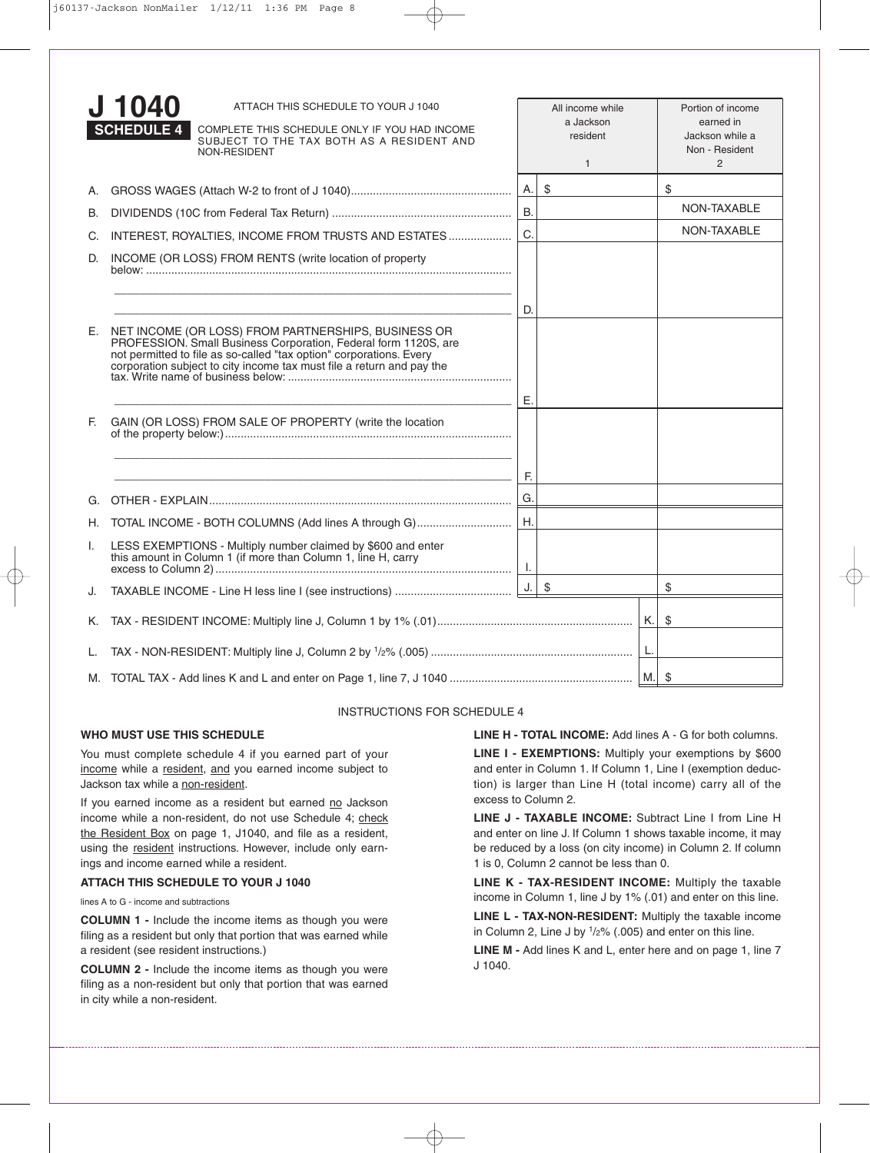|    | 1040<br>ATTACH THIS SCHEDULE TO YOUR J 1040<br><b>SCHEDULE 4</b><br>COMPLETE THIS SCHEDULE ONLY IF YOU HAD INCOME<br>SUBJECT TO THE TAX BOTH AS A RESIDENT AND<br>NON-RESIDENT                                                                                            |           | All income while<br>a Jackson<br>resident<br>$\mathbf{1}$ | Portion of income<br>earned in<br>Jackson while a<br>Non - Resident<br>$\overline{2}$ |
|----|---------------------------------------------------------------------------------------------------------------------------------------------------------------------------------------------------------------------------------------------------------------------------|-----------|-----------------------------------------------------------|---------------------------------------------------------------------------------------|
|    |                                                                                                                                                                                                                                                                           |           |                                                           | \$                                                                                    |
| В. |                                                                                                                                                                                                                                                                           | <b>B.</b> |                                                           | NON-TAXABLE                                                                           |
| C. | INTEREST, ROYALTIES, INCOME FROM TRUSTS AND ESTATES                                                                                                                                                                                                                       | C.        |                                                           | NON-TAXABLE                                                                           |
| D. | INCOME (OR LOSS) FROM RENTS (write location of property                                                                                                                                                                                                                   |           |                                                           |                                                                                       |
|    |                                                                                                                                                                                                                                                                           | D.        |                                                           |                                                                                       |
|    | E. NET INCOME (OR LOSS) FROM PARTNERSHIPS, BUSINESS OR<br>PROFESSION. Small Business Corporation, Federal form 1120S, are<br>not permitted to file as so-called "tax option" corporations. Every<br>corporation subject to city income tax must file a return and pay the | Е.        |                                                           |                                                                                       |
| E. | GAIN (OR LOSS) FROM SALE OF PROPERTY (write the location<br><u> 1989 - Johann Harry Harry Harry Harry Harry Harry Harry Harry Harry Harry Harry Harry Harry Harry Harry Harry</u>                                                                                         |           |                                                           |                                                                                       |
|    |                                                                                                                                                                                                                                                                           | E.        |                                                           |                                                                                       |
| G. |                                                                                                                                                                                                                                                                           | G.        |                                                           |                                                                                       |
| H. | TOTAL INCOME - BOTH COLUMNS (Add lines A through G)                                                                                                                                                                                                                       | Η.        |                                                           |                                                                                       |
| L. | LESS EXEMPTIONS - Multiply number claimed by \$600 and enter this amount in Column 1 (if more than Column 1, line H, carry                                                                                                                                                |           |                                                           |                                                                                       |
| J. |                                                                                                                                                                                                                                                                           | J.        | \$                                                        | \$                                                                                    |
| Κ. |                                                                                                                                                                                                                                                                           |           |                                                           | \$                                                                                    |
| L. |                                                                                                                                                                                                                                                                           |           |                                                           |                                                                                       |
|    |                                                                                                                                                                                                                                                                           |           |                                                           |                                                                                       |

## INSTRUCTIONS FOR SCHEDULE 4

# **WHO MUST USE THIS SCHEDULE**

You must complete schedule 4 if you earned part of your income while a resident, and you earned income subject to Jackson tax while a non-resident.

If you earned income as a resident but earned no Jackson income while a non-resident, do not use Schedule 4; check the Resident Box on page 1, J1040, and file as a resident, using the resident instructions. However, include only earnings and income earned while a resident.

## **ATTACH THIS SCHEDULE TO YOUR J 1040**

lines A to G - income and subtractions

**COLUMN 1 -** Include the income items as though you were filing as a resident but only that portion that was earned while a resident (see resident instructions.)

**COLUMN 2 -** Include the income items as though you were filing as a non-resident but only that portion that was earned in city while a non-resident.

**LINE H - TOTAL INCOME:** Add lines A - G for both columns.

**LINE I - EXEMPTIONS:** Multiply your exemptions by \$600 and enter in Column 1. If Column 1, Line I (exemption deduction) is larger than Line H (total income) carry all of the excess to Column 2.

**LINE J - TAXABLE INCOME:** Subtract Line I from Line H and enter on line J. If Column 1 shows taxable income, it may be reduced by a loss (on city income) in Column 2. If column 1 is 0, Column 2 cannot be less than 0.

**LINE K - TAX-RESIDENT INCOME:** Multiply the taxable income in Column 1, line J by 1% (.01) and enter on this line.

**LINE L - TAX-NON-RESIDENT:** Multiply the taxable income in Column 2, Line J by  $1/2\%$  (.005) and enter on this line.

**LINE M -** Add lines K and L, enter here and on page 1, line 7 J 1040.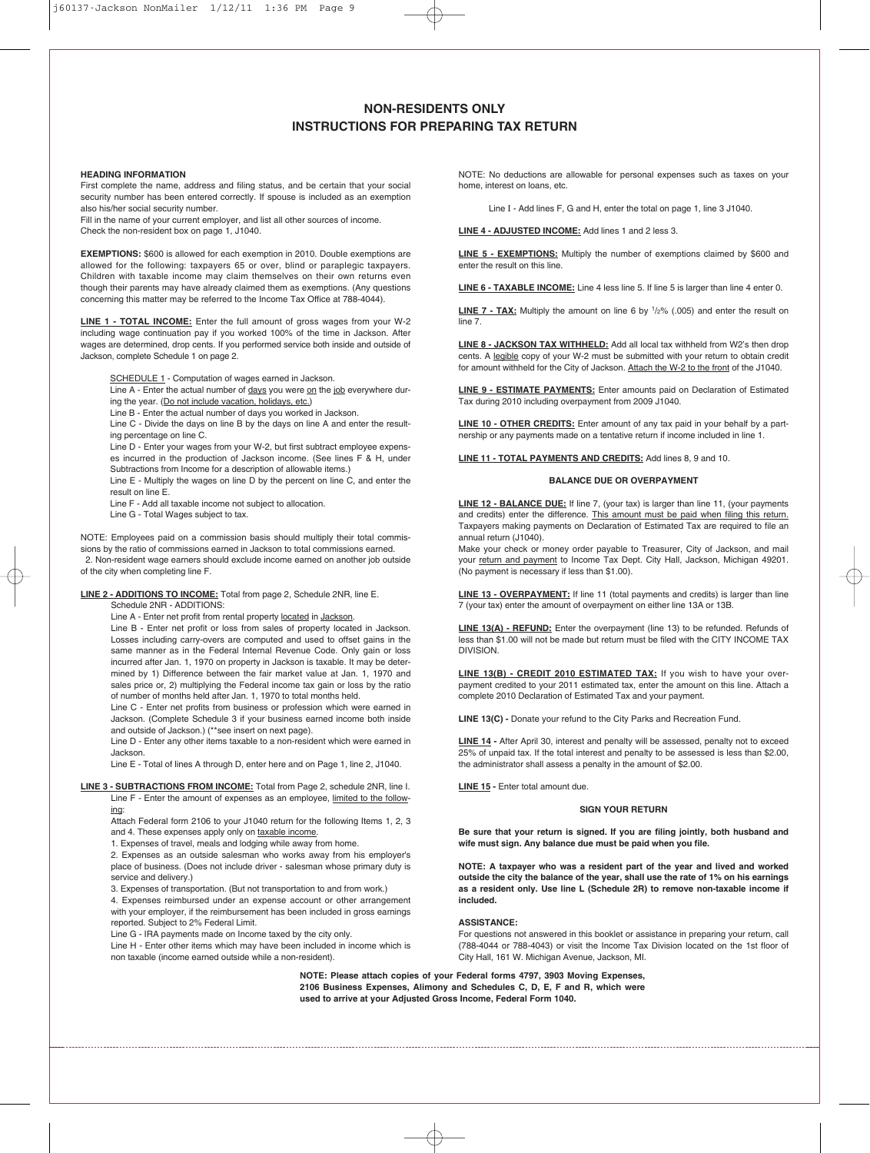# **NON-RESIDENTS ONLY INSTRUCTIONS FOR PREPARING TAX RETURN**

## **HEADING INFORMATION**

First complete the name, address and filing status, and be certain that your social security number has been entered correctly. If spouse is included as an exemption also his/her social security number.

Fill in the name of your current employer, and list all other sources of income. Check the non-resident box on page 1, J1040.

**EXEMPTIONS:** \$600 is allowed for each exemption in 2010. Double exemptions are allowed for the following: taxpayers 65 or over, blind or paraplegic taxpayers. Children with taxable income may claim themselves on their own returns even though their parents may have already claimed them as exemptions. (Any questions concerning this matter may be referred to the Income Tax Office at 788-4044).

**LINE 1 - TOTAL INCOME:** Enter the full amount of gross wages from your W-2 including wage continuation pay if you worked 100% of the time in Jackson. After wages are determined, drop cents. If you performed service both inside and outside of Jackson, complete Schedule 1 on page 2.

SCHEDULE 1 - Computation of wages earned in Jackson.

Line A - Enter the actual number of days you were on the job everywhere during the year. (Do not include vacation, holidays, etc.)

Line B - Enter the actual number of days you worked in Jackson.

Line C - Divide the days on line B by the days on line A and enter the resulting percentage on line C.

Line D - Enter your wages from your W-2, but first subtract employee expenses incurred in the production of Jackson income. (See lines F & H, under Subtractions from Income for a description of allowable items.)

Line E - Multiply the wages on line D by the percent on line C, and enter the result on line E.

Line F - Add all taxable income not subject to allocation.

Line G - Total Wages subject to tax.

NOTE: Employees paid on a commission basis should multiply their total commissions by the ratio of commissions earned in Jackson to total commissions earned. 2. Non-resident wage earners should exclude income earned on another job outside of the city when completing line F.

#### **LINE 2 - ADDITIONS TO INCOME:** Total from page 2, Schedule 2NR, line E. Schedule 2NR - ADDITIONS:

Line A - Enter net profit from rental property located in Jackson.

Line B - Enter net profit or loss from sales of property located in Jackson. Losses including carry-overs are computed and used to offset gains in the same manner as in the Federal Internal Revenue Code. Only gain or loss incurred after Jan. 1, 1970 on property in Jackson is taxable. It may be determined by 1) Difference between the fair market value at Jan. 1, 1970 and sales price or, 2) multiplying the Federal income tax gain or loss by the ratio of number of months held after Jan. 1, 1970 to total months held.

Line C - Enter net profits from business or profession which were earned in Jackson. (Complete Schedule 3 if your business earned income both inside and outside of Jackson.) (\*\*see insert on next page).

Line D - Enter any other items taxable to a non-resident which were earned in Jackson.

Line E - Total of lines A through D, enter here and on Page 1, line 2, J1040.

#### **LINE 3 - SUBTRACTIONS FROM INCOME:** Total from Page 2, schedule 2NR, line I. Line F - Enter the amount of expenses as an employee, limited to the follow-

ing: Attach Federal form 2106 to your J1040 return for the following Items 1, 2, 3 and 4. These expenses apply only on taxable income.

1. Expenses of travel, meals and lodging while away from home.

2. Expenses as an outside salesman who works away from his employer's place of business. (Does not include driver - salesman whose primary duty is service and delivery.)

3. Expenses of transportation. (But not transportation to and from work.)

4. Expenses reimbursed under an expense account or other arrangement with your employer, if the reimbursement has been included in gross earnings reported. Subject to 2% Federal Limit.

Line G - IRA payments made on Income taxed by the city only.

Line H - Enter other items which may have been included in income which is non taxable (income earned outside while a non-resident).

NOTE: No deductions are allowable for personal expenses such as taxes on your home, interest on loans, etc.

Line I - Add lines F, G and H, enter the total on page 1, line 3 J1040.

**LINE 4 - ADJUSTED INCOME:** Add lines 1 and 2 less 3.

**LINE 5 - EXEMPTIONS:** Multiply the number of exemptions claimed by \$600 and enter the result on this line.

**LINE 6 - TAXABLE INCOME:** Line 4 less line 5. If line 5 is larger than line 4 enter 0.

**LINE 7 - TAX:** Multiply the amount on line 6 by 1/2% (.005) and enter the result on line 7.

**LINE 8 - JACKSON TAX WITHHELD:** Add all local tax withheld from W2's then drop cents. A legible copy of your W-2 must be submitted with your return to obtain credit for amount withheld for the City of Jackson. Attach the W-2 to the front of the J1040.

**LINE 9 - ESTIMATE PAYMENTS:** Enter amounts paid on Declaration of Estimated Tax during 2010 including overpayment from 2009 J1040.

**LINE 10 - OTHER CREDITS:** Enter amount of any tax paid in your behalf by a partnership or any payments made on a tentative return if income included in line 1.

**LINE 11 - TOTAL PAYMENTS AND CREDITS:** Add lines 8, 9 and 10.

#### **BALANCE DUE OR OVERPAYMENT**

**LINE 12 - BALANCE DUE:** If line 7, (your tax) is larger than line 11, (your payments and credits) enter the difference. This amount must be paid when filing this return. Taxpayers making payments on Declaration of Estimated Tax are required to file an annual return (J1040).

Make your check or money order payable to Treasurer, City of Jackson, and mail your return and payment to Income Tax Dept. City Hall, Jackson, Michigan 49201. (No payment is necessary if less than \$1.00).

**LINE 13 - OVERPAYMENT:** If line 11 (total payments and credits) is larger than line 7 (your tax) enter the amount of overpayment on either line 13A or 13B.

**LINE 13(A) - REFUND:** Enter the overpayment (line 13) to be refunded. Refunds of less than \$1.00 will not be made but return must be filed with the CITY INCOME TAX DIVISION.

**LINE 13(B) - CREDIT 2010 ESTIMATED TAX:** If you wish to have your overpayment credited to your 2011 estimated tax, enter the amount on this line. Attach a complete 2010 Declaration of Estimated Tax and your payment.

**LINE 13(C) -** Donate your refund to the City Parks and Recreation Fund.

**LINE 14 -** After April 30, interest and penalty will be assessed, penalty not to exceed 25% of unpaid tax. If the total interest and penalty to be assessed is less than \$2.00, the administrator shall assess a penalty in the amount of \$2.00.

**LINE 15 -** Enter total amount due.

### **SIGN YOUR RETURN**

**Be sure that your return is signed. If you are filing jointly, both husband and wife must sign. Any balance due must be paid when you file.**

**NOTE: A taxpayer who was a resident part of the year and lived and worked outside the city the balance of the year, shall use the rate of 1% on his earnings as a resident only. Use line L (Schedule 2R) to remove non-taxable income if included.**

### **ASSISTANCE:**

For questions not answered in this booklet or assistance in preparing your return, call (788-4044 or 788-4043) or visit the Income Tax Division located on the 1st floor of City Hall, 161 W. Michigan Avenue, Jackson, MI.

**NOTE: Please attach copies of your Federal forms 4797, 3903 Moving Expenses, 2106 Business Expenses, Alimony and Schedules C, D, E, F and R, which were used to arrive at your Adjusted Gross Income, Federal Form 1040.**